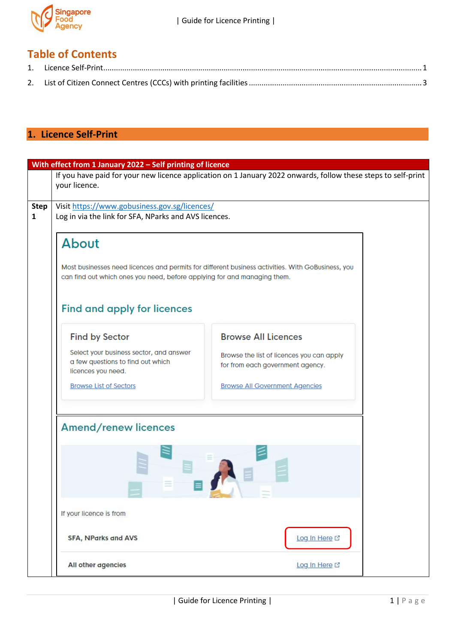

## **Table of Contents**

## <span id="page-0-0"></span>**1. Licence Self-Print**

|             | With effect from 1 January 2022 - Self printing of licence                                                                                                                                                          |                                                                                                               |  |  |
|-------------|---------------------------------------------------------------------------------------------------------------------------------------------------------------------------------------------------------------------|---------------------------------------------------------------------------------------------------------------|--|--|
|             | your licence.                                                                                                                                                                                                       | If you have paid for your new licence application on 1 January 2022 onwards, follow these steps to self-print |  |  |
| <b>Step</b> | Visit https://www.gobusiness.gov.sg/licences/                                                                                                                                                                       |                                                                                                               |  |  |
| 1           | Log in via the link for SFA, NParks and AVS licences.                                                                                                                                                               |                                                                                                               |  |  |
|             |                                                                                                                                                                                                                     |                                                                                                               |  |  |
|             | About                                                                                                                                                                                                               |                                                                                                               |  |  |
|             | Most businesses need licences and permits for different business activities. With GoBusiness, you<br>can find out which ones you need, before applying for and managing them.<br><b>Find and apply for licences</b> |                                                                                                               |  |  |
|             |                                                                                                                                                                                                                     |                                                                                                               |  |  |
|             | <b>Find by Sector</b>                                                                                                                                                                                               | <b>Browse All Licences</b>                                                                                    |  |  |
|             | Select your business sector, and answer                                                                                                                                                                             |                                                                                                               |  |  |
|             | a few questions to find out which<br>licences you need.                                                                                                                                                             | Browse the list of licences you can apply<br>for from each government agency.                                 |  |  |
|             | <b>Browse List of Sectors</b>                                                                                                                                                                                       | <b>Browse All Government Agencies</b>                                                                         |  |  |
|             | Amend/renew licences                                                                                                                                                                                                |                                                                                                               |  |  |
|             | If your licence is from                                                                                                                                                                                             |                                                                                                               |  |  |
|             |                                                                                                                                                                                                                     |                                                                                                               |  |  |
|             | <b>SFA, NParks and AVS</b>                                                                                                                                                                                          | Log In Here L'                                                                                                |  |  |
|             | All other agencies                                                                                                                                                                                                  | Log In Here L'                                                                                                |  |  |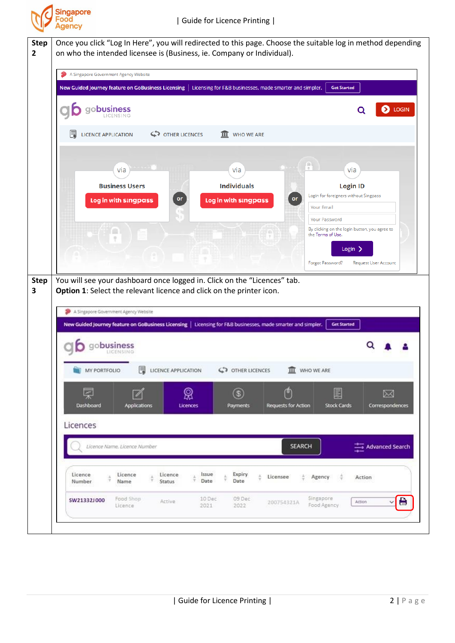

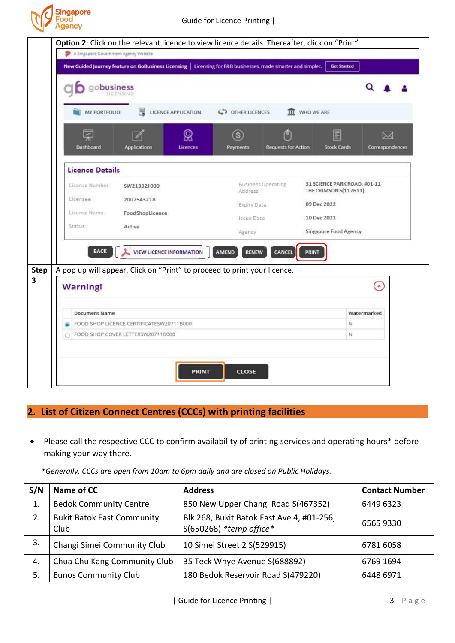

|                                             | New Guided Journey feature on GoBusiness Licensing   Licensing for F&B businesses, made smarter and simpler. |                                        | <b>Get Started</b>                                    |                 |
|---------------------------------------------|--------------------------------------------------------------------------------------------------------------|----------------------------------------|-------------------------------------------------------|-----------------|
|                                             |                                                                                                              |                                        |                                                       |                 |
| obusiness                                   |                                                                                                              |                                        |                                                       | O               |
|                                             |                                                                                                              |                                        |                                                       |                 |
| MY PORTFOLIO                                | 閸<br>LICENCE APPLICATION                                                                                     | C OTHER LICENCES                       | m<br>WHO WE ARE                                       |                 |
| <b>Lette</b>                                | ଭୁ                                                                                                           | $\overline{\mathbf{s}}$                | e<br>目                                                | ⊠               |
| Dashboard                                   | Applications<br>Licences                                                                                     | Payments                               | <b>Requests for Action</b><br><b>Stock Cards</b>      | Correspondences |
|                                             |                                                                                                              |                                        |                                                       |                 |
| <b>Licence Details</b>                      |                                                                                                              |                                        |                                                       |                 |
| Licence Number                              | SW21332J000                                                                                                  | <b>Business Operating</b><br>Address   | 31 SCIENCE PARK ROAD, #01-11<br>THE CRIMSON S(117611) |                 |
| Licensee                                    | 200754321A                                                                                                   |                                        | 09 Dec 2022                                           |                 |
| Licence Name                                | <b>FoodShopLicence</b>                                                                                       | Expiry Date                            | 10 Dec 2021                                           |                 |
| Status                                      | Active                                                                                                       | Issue Date                             |                                                       |                 |
|                                             |                                                                                                              | Agency                                 | Singapore Food Agency                                 |                 |
| <b>BACK</b>                                 | <b>VIEW LICENCE INFORMATION</b>                                                                              | CANCEL<br><b>AMEND</b><br><b>RENEW</b> | <b>PRINT</b>                                          |                 |
|                                             |                                                                                                              |                                        |                                                       |                 |
|                                             | A pop up will appear. Click on "Print" to proceed to print your licence.                                     |                                        |                                                       |                 |
| <b>Warning!</b>                             |                                                                                                              |                                        |                                                       | $\mathbf{x}$    |
|                                             |                                                                                                              |                                        |                                                       |                 |
| <b>Document Name</b>                        |                                                                                                              |                                        |                                                       | Watermarked     |
| ۵                                           | FOOD SHOP LICENCE CERTIFICATESW20711B000                                                                     |                                        | N                                                     |                 |
| Ń<br>FOOD SHOP COVER LETTERSW20711B000<br>O |                                                                                                              |                                        |                                                       |                 |
|                                             |                                                                                                              |                                        |                                                       |                 |

## <span id="page-2-0"></span>**2. List of Citizen Connect Centres (CCCs) with printing facilities**

• Please call the respective CCC to confirm availability of printing services and operating hours\* before making your way there.

*\*Generally, CCCs are open from 10am to 6pm daily and are closed on Public Holidays.*

| S/N | Name of CC                                | <b>Address</b>                                                         | <b>Contact Number</b> |
|-----|-------------------------------------------|------------------------------------------------------------------------|-----------------------|
| 1.  | <b>Bedok Community Centre</b>             | 850 New Upper Changi Road S(467352)                                    | 6449 6323             |
| 2.  | <b>Bukit Batok East Community</b><br>Club | Blk 268, Bukit Batok East Ave 4, #01-256,<br>$S(650268)$ *temp office* | 65659330              |
| 3.  | Changi Simei Community Club               | 10 Simei Street 2 S(529915)                                            | 6781 6058             |
| 4.  | Chua Chu Kang Community Club              | 35 Teck Whye Avenue S(688892)                                          | 6769 1694             |
| 5.  | <b>Eunos Community Club</b>               | 180 Bedok Reservoir Road S(479220)                                     | 6448 6971             |